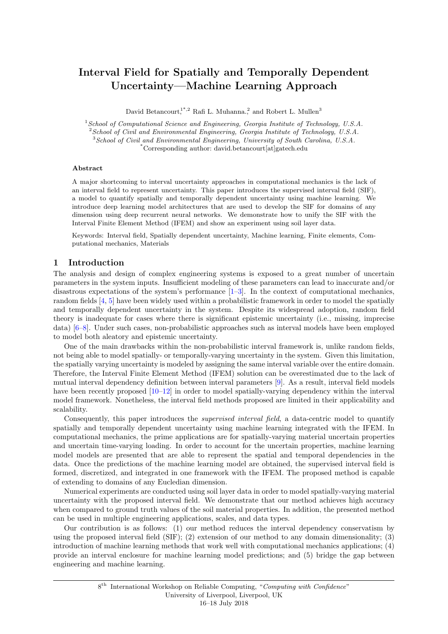# Interval Field for Spatially and Temporally Dependent Uncertainty—Machine Learning Approach

David Betancourt,<sup>1\*,2</sup> Rafi L. Muhanna.<sup>2</sup> and Robert L. Mullen<sup>3</sup>

 $1$ School of Computational Science and Engineering, Georgia Institute of Technology, U.S.A.  $2$  School of Civil and Environmental Engineering, Georgia Institute of Technology, U.S.A.

<sup>3</sup>School of Civil and Environmental Engineering, University of South Carolina, U.S.A.

\*Corresponding author: david.betancourt[at]gatech.edu

#### Abstract

A major shortcoming to interval uncertainty approaches in computational mechanics is the lack of an interval field to represent uncertainty. This paper introduces the supervised interval field (SIF), a model to quantify spatially and temporally dependent uncertainty using machine learning. We introduce deep learning model architectures that are used to develop the SIF for domains of any dimension using deep recurrent neural networks. We demonstrate how to unify the SIF with the Interval Finite Element Method (IFEM) and show an experiment using soil layer data.

Keywords: Interval field, Spatially dependent uncertainty, Machine learning, Finite elements, Computational mechanics, Materials

# 1 Introduction

The analysis and design of complex engineering systems is exposed to a great number of uncertain parameters in the system inputs. Insufficient modeling of these parameters can lead to inaccurate and/or disastrous expectations of the system's performance  $[1-3]$  $[1-3]$ . In the context of computational mechanics, random fields [\[4,](#page-6-2) [5\]](#page-6-3) have been widely used within a probabilistic framework in order to model the spatially and temporally dependent uncertainty in the system. Despite its widespread adoption, random field theory is inadequate for cases where there is significant epistemic uncertainty (i.e., missing, imprecise data) [\[6](#page-6-4)[–8\]](#page-6-5). Under such cases, non-probabilistic approaches such as interval models have been employed to model both aleatory and epistemic uncertainty.

One of the main drawbacks within the non-probabilistic interval framework is, unlike random fields, not being able to model spatially- or temporally-varying uncertainty in the system. Given this limitation, the spatially varying uncertainty is modeled by assigning the same interval variable over the entire domain. Therefore, the Interval Finite Element Method (IFEM) solution can be overestimated due to the lack of mutual interval dependency definition between interval parameters [\[9\]](#page-7-0). As a result, interval field models have been recently proposed [\[10–](#page-7-1)[12\]](#page-7-2) in order to model spatially-varying dependency within the interval model framework. Nonetheless, the interval field methods proposed are limited in their applicability and scalability.

Consequently, this paper introduces the *supervised interval field*, a data-centric model to quantify spatially and temporally dependent uncertainty using machine learning integrated with the IFEM. In computational mechanics, the prime applications are for spatially-varying material uncertain properties and uncertain time-varying loading. In order to account for the uncertain properties, machine learning model models are presented that are able to represent the spatial and temporal dependencies in the data. Once the predictions of the machine learning model are obtained, the supervised interval field is formed, discretized, and integrated in one framework with the IFEM. The proposed method is capable of extending to domains of any Eucledian dimension.

Numerical experiments are conducted using soil layer data in order to model spatially-varying material uncertainty with the proposed interval field. We demonstrate that our method achieves high accuracy when compared to ground truth values of the soil material properties. In addition, the presented method can be used in multiple engineering applications, scales, and data types.

Our contribution is as follows: (1) our method reduces the interval dependency conservatism by using the proposed interval field (SIF); (2) extension of our method to any domain dimensionality; (3) introduction of machine learning methods that work well with computational mechanics applications; (4) provide an interval enclosure for machine learning model predictions; and (5) bridge the gap between engineering and machine learning.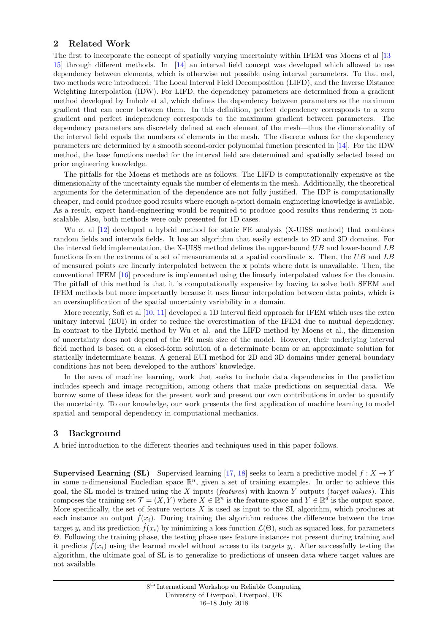# 2 Related Work

The first to incorporate the concept of spatially varying uncertainty within IFEM was Moens et al [\[13–](#page-7-3) [15\]](#page-7-4) through different methods. In [\[14\]](#page-7-5) an interval field concept was developed which allowed to use dependency between elements, which is otherwise not possible using interval parameters. To that end, two methods were introduced: The Local Interval Field Decomposition (LIFD), and the Inverse Distance Weighting Interpolation (IDW). For LIFD, the dependency parameters are determined from a gradient method developed by Imholz et al, which defines the dependency between parameters as the maximum gradient that can occur between them. In this definition, perfect dependency corresponds to a zero gradient and perfect independency corresponds to the maximum gradient between parameters. The dependency parameters are discretely defined at each element of the mesh—thus the dimensionality of the interval field equals the numbers of elements in the mesh. The discrete values for the dependency parameters are determined by a smooth second-order polynomial function presented in [\[14\]](#page-7-5). For the IDW method, the base functions needed for the interval field are determined and spatially selected based on prior engineering knowledge.

The pitfalls for the Moens et methods are as follows: The LIFD is computationally expensive as the dimensionality of the uncertainty equals the number of elements in the mesh. Additionally, the theoretical arguments for the determination of the dependence are not fully justified. The IDP is computationally cheaper, and could produce good results where enough a-priori domain engineering knowledge is available. As a result, expert hand-engineering would be required to produce good results thus rendering it nonscalable. Also, both methods were only presented for 1D cases.

Wu et al [\[12\]](#page-7-2) developed a hybrid method for static FE analysis (X-UISS method) that combines random fields and intervals fields. It has an algorithm that easily extends to 2D and 3D domains. For the interval field implementation, the X-UISS method defines the upper-bound UB and lower-bound LB functions from the extrema of a set of measurements at a spatial coordinate x. Then, the UB and LB of measured points are linearly interpolated between the x points where data is unavailable. Then, the conventional IFEM [\[16\]](#page-7-6) procedure is implemented using the linearly interpolated values for the domain. The pitfall of this method is that it is computationally expensive by having to solve both SFEM and IFEM methods but more importantly because it uses linear interpolation between data points, which is an oversimplification of the spatial uncertainty variability in a domain.

More recently, Sofi et al [\[10,](#page-7-1) [11\]](#page-7-7) developed a 1D interval field approach for IFEM which uses the extra unitary interval (EUI) in order to reduce the overestimation of the IFEM due to mutual dependency. In contrast to the Hybrid method by Wu et al. and the LIFD method by Moens et al., the dimension of uncertainty does not depend of the FE mesh size of the model. However, their underlying interval field method is based on a closed-form solution of a determinate beam or an approximate solution for statically indeterminate beams. A general EUI method for 2D and 3D domains under general boundary conditions has not been developed to the authors' knowledge.

In the area of machine learning, work that seeks to include data dependencies in the prediction includes speech and image recognition, among others that make predictions on sequential data. We borrow some of these ideas for the present work and present our own contributions in order to quantify the uncertainty. To our knowledge, our work presents the first application of machine learning to model spatial and temporal dependency in computational mechanics.

# 3 Background

A brief introduction to the different theories and techniques used in this paper follows.

**Supervised Learning (SL)** Supervised learning [\[17,](#page-7-8) [18\]](#page-7-9) seeks to learn a predictive model  $f : X \to Y$ in some n-dimensional Eucledian space  $\mathbb{R}^n$ , given a set of training examples. In order to achieve this goal, the SL model is trained using the  $X$  inputs (*features*) with known  $Y$  outputs (*target values*). This composes the training set  $\mathcal{T} = (X, Y)$  where  $X \in \mathbb{R}^n$  is the feature space and  $Y \in \mathbb{R}^d$  is the output space. More specifically, the set of feature vectors  $X$  is used as input to the SL algorithm, which produces at each instance an output  $\hat{f}(x_i)$ . During training the algorithm reduces the difference between the true target  $y_i$  and its prediction  $f(x_i)$  by minimizing a loss function  $\mathcal{L}(\Theta)$ , such as squared loss, for parameters Θ. Following the training phase, the testing phase uses feature instances not present during training and it predicts  $\tilde{f}(x_i)$  using the learned model without access to its targets  $y_i$ . After successfully testing the algorithm, the ultimate goal of SL is to generalize to predictions of unseen data where target values are not available.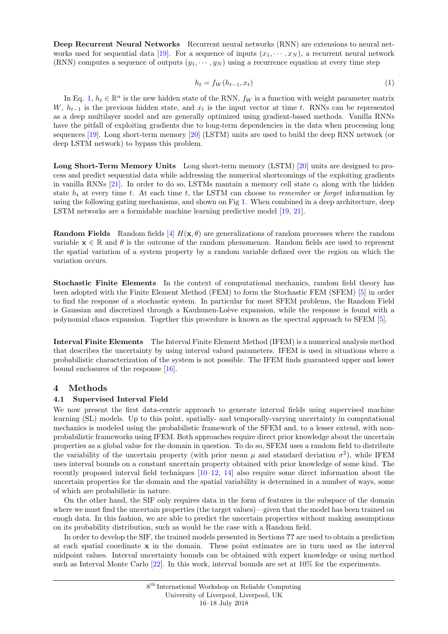<span id="page-2-0"></span>Deep Recurrent Neural Networks Recurrent neural networks (RNN) are extensions to neural net-works used for sequential data [\[19\]](#page-7-10). For a sequence of inputs  $(x_1, \dots, x_N)$ , a recurrent neural network (RNN) computes a sequence of outputs  $(y_1, \dots, y_N)$  using a recurrence equation at every time step

$$
h_t = f_W(h_{t-1}, x_t) \tag{1}
$$

In Eq. [1,](#page-2-0)  $h_t \in \mathbb{R}^n$  is the new hidden state of the RNN,  $f_W$  is a function with weight parameter matrix W,  $h_{t-1}$  is the previous hidden state, and  $x_t$  is the input vector at time t. RNNs can be represented as a deep multilayer model and are generally optimized using gradient-based methods. Vanilla RNNs have the pitfall of exploiting gradients due to long-term dependencies in the data when processing long sequences [\[19\]](#page-7-10). Long short-term memory [\[20\]](#page-7-11) (LSTM) units are used to build the deep RNN network (or deep LSTM network) to bypass this problem.

Long Short-Term Memory Units Long short-term memory (LSTM) [\[20\]](#page-7-11) units are designed to process and predict sequential data while addressing the numerical shortcomings of the exploiting gradients in vanilla RNNs [\[21\]](#page-7-12). In order to do so, LSTMs mantain a memory cell state  $c_t$  along with the hidden state  $h_t$  at every time t. At each time t, the LSTM can choose to remember or forget information by using the following gating mechanisms, and shown on Fig [1.](#page-3-0) When combined in a deep architecture, deep LSTM networks are a formidable machine learning predictive model [\[19,](#page-7-10) [21\]](#page-7-12).

**Random Fields** Random fields [\[4\]](#page-6-2)  $H(\mathbf{x}, \theta)$  are generalizations of random processes where the random variable  $\mathbf{x} \in \mathbb{R}$  and  $\theta$  is the outcome of the random phenomenon. Random fields are used to represent the spatial variation of a system property by a random variable defined over the region on which the variation occurs.

Stochastic Finite Elements In the context of computational mechanics, random field theory has been adopted with the Finite Element Method (FEM) to form the Stochastic FEM (SFEM) [\[5\]](#page-6-3) in order to find the response of a stochastic system. In particular for most SFEM problems, the Random Field is Gaussian and discretized through a Kauhunen-Loève expansion, while the response is found with a polynomial chaos expansion. Together this procedure is known as the spectral approach to SFEM [\[5\]](#page-6-3).

Interval Finite Elements The Interval Finite Element Method (IFEM) is a numerical analysis method that describes the uncertainty by using interval valued parameters. IFEM is used in situations where a probabilistic characterization of the system is not possible. The IFEM finds guaranteed upper and lower bound enclosures of the response [\[16\]](#page-7-6).

# 4 Methods

#### 4.1 Supervised Interval Field

We now present the first data-centric approach to generate interval fields using supervised machine learning (SL) models. Up to this point, spatially- and temporally-varying uncertainty in computational mechanics is modeled using the probabilistic framework of the SFEM and, to a lesser extend, with nonprobabilistic frameworks using IFEM. Both approaches require direct prior knowledge about the uncertain properties as a global value for the domain in question. To do so, SFEM uses a random field to distribute the variability of the uncertain property (with prior mean  $\mu$  and standard deviation  $\sigma^2$ ), while IFEM uses interval bounds on a constant uncertain property obtained with prior knowledge of some kind. The recently proposed interval field techniques  $[10-12, 14]$  $[10-12, 14]$  $[10-12, 14]$  $[10-12, 14]$  also require some direct information about the uncertain properties for the domain and the spatial variability is determined in a number of ways, some of which are probabilistic in nature.

On the other hand, the SIF only requires data in the form of features in the subspace of the domain where we must find the uncertain properties (the target values)—given that the model has been trained on enogh data. In this fashion, we are able to predict the uncertain properties without making assumptions on its probability distribution, such as would be the case with a Random field.

In order to develop the SIF, the trained models presented in Sections ?? are used to obtain a prediction at each spatial coordinate x in the domain. These point estimates are in turn used as the interval midpoint values. Interval uncertainty bounds can be obtained with expert knowledge or using method such as Interval Monte Carlo [\[22\]](#page-7-13). In this work, interval bounds are set at 10% for the experiments.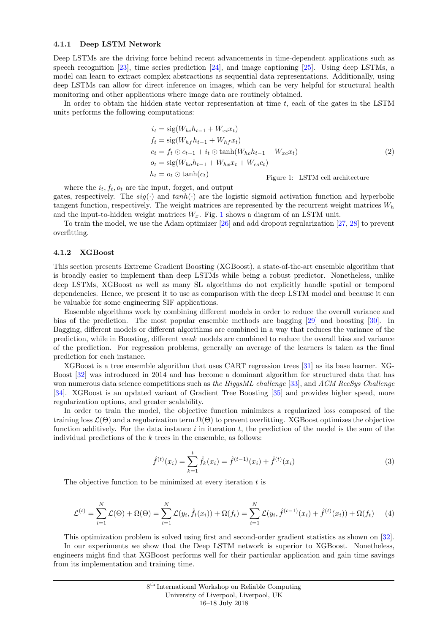#### 4.1.1 Deep LSTM Network

Deep LSTMs are the driving force behind recent advancements in time-dependent applications such as speech recognition [\[23\]](#page-7-14), time series prediction [\[24\]](#page-7-15), and image captioning [\[25\]](#page-7-16). Using deep LSTMs, a model can learn to extract complex abstractions as sequential data representations. Additionally, using deep LSTMs can allow for direct inference on images, which can be very helpful for structural health monitoring and other applications where image data are routinely obtained.

In order to obtain the hidden state vector representation at time  $t$ , each of the gates in the LSTM units performs the following computations:

<span id="page-3-0"></span>
$$
i_t = \text{sig}(W_{hi}h_{t-1} + W_{xi}x_t)
$$
  
\n
$$
f_t = \text{sig}(W_{hf}h_{t-1} + W_{hf}x_t)
$$
  
\n
$$
c_t = f_t \odot c_{t-1} + i_t \odot \tanh(W_{hc}h_{t-1} + W_{xc}x_t)
$$
  
\n
$$
o_t = \text{sig}(W_{ho}h_{t-1} + W_{hx}x_t + W_{co}c_t)
$$
  
\n
$$
h_t = o_t \odot \tanh(c_t)
$$
 Figure 1: LSTM cell architecture

where the  $i_t$ ,  $f_t$ ,  $o_t$  are the input, forget, and output gates, respectively. The  $sig(\cdot)$  and  $tanh(\cdot)$  are the logistic sigmoid activation function and hyperbolic tangent function, respectively. The weight matrices are represented by the recurrent weight matrices  $W_h$ and the input-to-hidden weight matrices  $W_x$ . Fig. [1](#page-3-0) shows a diagram of an LSTM unit.

To train the model, we use the Adam optimizer [\[26\]](#page-7-17) and add dropout regularization [\[27,](#page-7-18) [28\]](#page-7-19) to prevent overfitting.

#### 4.1.2 XGBoost

This section presents Extreme Gradient Boosting (XGBoost), a state-of-the-art ensemble algorithm that is broadly easier to implement than deep LSTMs while being a robust predictor. Nonetheless, unlike deep LSTMs, XGBoost as well as many SL algorithms do not explicitly handle spatial or temporal dependencies. Hence, we present it to use as comparison with the deep LSTM model and because it can be valuable for some engineering SIF applications.

Ensemble algorithms work by combining different models in order to reduce the overall variance and bias of the prediction. The most popular ensemble methods are bagging [\[29\]](#page-7-20) and boosting [\[30\]](#page-7-21). In Bagging, different models or different algorithms are combined in a way that reduces the variance of the prediction, while in Boosting, different weak models are combined to reduce the overall bias and variance of the prediction. For regression problems, generally an average of the learners is taken as the final prediction for each instance.

XGBoost is a tree ensemble algorithm that uses CART regression trees [\[31\]](#page-7-22) as its base learner. XG-Boost [\[32\]](#page-7-23) was introduced in 2014 and has become a dominant algorithm for structured data that has won numerous data science competitions such as the HiggsML challenge [\[33\]](#page-7-24), and ACM RecSys Challenge [\[34\]](#page-7-25). XGBoost is an updated variant of Gradient Tree Boosting [\[35\]](#page-7-26) and provides higher speed, more regularization options, and greater scalability.

In order to train the model, the objective function minimizes a regularized loss composed of the training loss  $\mathcal{L}(\Theta)$  and a regularization term  $\Omega(\Theta)$  to prevent overfitting. XGBoost optimizes the objective function additively. For the data instance i in iteration t, the prediction of the model is the sum of the individual predictions of the  $k$  trees in the ensemble, as follows:

$$
\hat{f}^{(t)}(x_i) = \sum_{k=1}^{t} \hat{f}_k(x_i) = \hat{f}^{(t-1)}(x_i) + \hat{f}^{(t)}(x_i)
$$
\n(3)

The objective function to be minimized at every iteration  $t$  is

$$
\mathcal{L}^{(t)} = \sum_{i=1}^{N} \mathcal{L}(\Theta) + \Omega(\Theta) = \sum_{i=1}^{N} \mathcal{L}(y_i, \hat{f}_t(x_i)) + \Omega(f_t) = \sum_{i=1}^{N} \mathcal{L}(y_i, \hat{f}^{(t-1)}(x_i) + \hat{f}^{(t)}(x_i)) + \Omega(f_t)
$$
(4)

This optimization problem is solved using first and second-order gradient statistics as shown on [\[32\]](#page-7-23).

In our experiments we show that the Deep LSTM network is superior to XGBoost. Nonetheless, engineers might find that XGBoost performs well for their particular application and gain time savings from its implementation and training time.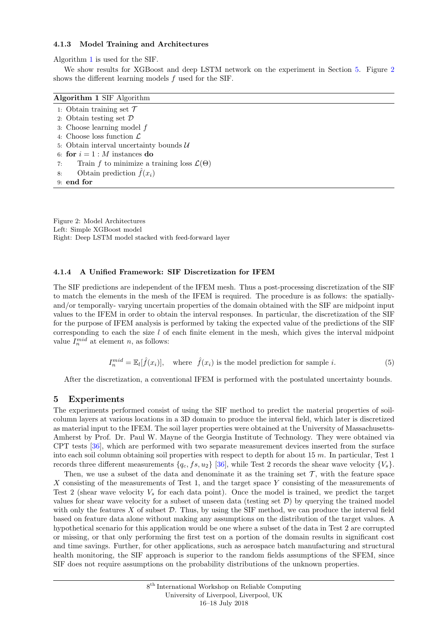#### 4.1.3 Model Training and Architectures

Algorithm [1](#page-4-0) is used for the SIF.

We show results for XGBoost and deep LSTM network on the experiment in Section [5.](#page-4-1) Figure [2](#page-4-2) shows the different learning models  $f$  used for the SIF.

<span id="page-4-0"></span>

| Algorithm 1 SIF Algorithm                                       |
|-----------------------------------------------------------------|
| 1: Obtain training set $\mathcal T$                             |
| 2: Obtain testing set $\mathcal D$                              |
| 3: Choose learning model $f$                                    |
| 4: Choose loss function $\mathcal L$                            |
| 5: Obtain interval uncertainty bounds $\mathcal{U}$             |
| 6: for $i = 1 : M$ instances do                                 |
| Train f to minimize a training loss $\mathcal{L}(\Theta)$<br>7: |
| Obtain prediction $\hat{f}(x_i)$<br>8:                          |
| $9:$ end for                                                    |

<span id="page-4-2"></span>Figure 2: Model Architectures Left: Simple XGBoost model Right: Deep LSTM model stacked with feed-forward layer

#### <span id="page-4-4"></span>4.1.4 A Unified Framework: SIF Discretization for IFEM

The SIF predictions are independent of the IFEM mesh. Thus a post-processing discretization of the SIF to match the elements in the mesh of the IFEM is required. The procedure is as follows: the spatiallyand/or temporally- varying uncertain properties of the domain obtained with the SIF are midpoint input values to the IFEM in order to obtain the interval responses. In particular, the discretization of the SIF for the purpose of IFEM analysis is performed by taking the expected value of the predictions of the SIF corresponding to each the size  $l$  of each finite element in the mesh, which gives the interval midpoint value  $I_n^{mid}$  at element n, as follows:

$$
I_n^{mid} = \mathbb{E}_l[\hat{f}(x_i)], \quad \text{where} \quad \hat{f}(x_i) \text{ is the model prediction for sample } i. \tag{5}
$$

<span id="page-4-3"></span>After the discretization, a conventional IFEM is performed with the postulated uncertainty bounds.

# <span id="page-4-1"></span>5 Experiments

The experiments performed consist of using the SIF method to predict the material properties of soilcolumn layers at various locations in a 3D domain to produce the interval field, which later is discretized as material input to the IFEM. The soil layer properties were obtained at the University of Massachusetts-Amherst by Prof. Dr. Paul W. Mayne of the Georgia Institute of Technology. They were obtained via CPT tests [\[36\]](#page-7-27), which are performed with two separate measurement devices inserted from the surface into each soil column obtaining soil properties with respect to depth for about 15  $m$ . In particular, Test 1 records three different measurements  $\{q_c, fs, u_2\}$  [\[36\]](#page-7-27), while Test 2 records the shear wave velocity  $\{V_s\}$ .

Then, we use a subset of the data and denominate it as the training set  $\mathcal{T}$ , with the feature space X consisting of the measurements of Test 1, and the target space Y consisting of the measurements of Test 2 (shear wave velocity  $V_s$  for each data point). Once the model is trained, we predict the target values for shear wave velocity for a subset of unseen data (testing set  $\mathcal{D}$ ) by querying the trained model with only the features  $X$  of subset  $D$ . Thus, by using the SIF method, we can produce the interval field based on feature data alone without making any assumptions on the distribution of the target values. A hypothetical scenario for this application would be one where a subset of the data in Test 2 are corrupted or missing, or that only performing the first test on a portion of the domain results in significant cost and time savings. Further, for other applications, such as aerospace batch manufacturing and structural health monitoring, the SIF approach is superior to the random fields assumptions of the SFEM, since SIF does not require assumptions on the probability distributions of the unknown properties.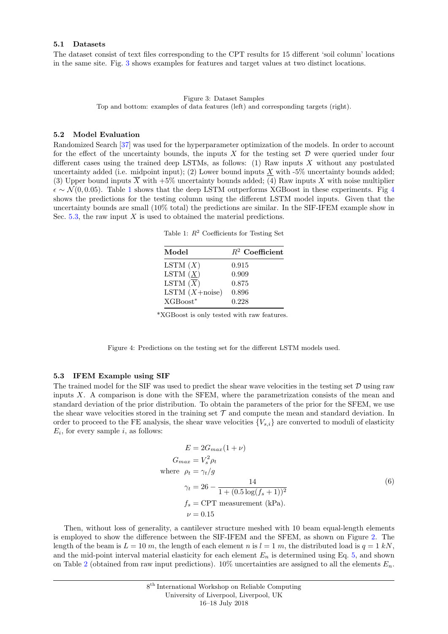# 5.1 Datasets

<span id="page-5-0"></span>The dataset consist of text files corresponding to the CPT results for 15 different 'soil column' locations in the same site. Fig. [3](#page-5-0) shows examples for features and target values at two distinct locations.

> Figure 3: Dataset Samples Top and bottom: examples of data features (left) and corresponding targets (right).

#### 5.2 Model Evaluation

<span id="page-5-1"></span>Randomized Search [\[37\]](#page-7-28) was used for the hyperparameter optimization of the models. In order to account for the effect of the uncertainty bounds, the inputs X for the testing set  $\mathcal D$  were queried under four different cases using the trained deep LSTMs, as follows:  $(1)$  Raw inputs X without any postulated uncertainty added (i.e. midpoint input); (2) Lower bound inputs  $\underline{X}$  with -5% uncertainty bounds added; (3) Upper bound inputs  $\overline{X}$  with +5% uncertainty bounds added; (4) Raw inputs X with noise multiplier  $\epsilon \sim \mathcal{N}(0, 0.05)$ . Table [1](#page-5-1) shows that the deep LSTM outperforms XGBoost in these experiments. Fig [4](#page-5-2) shows the predictions for the testing column using the different LSTM model inputs. Given that the uncertainty bounds are small (10% total) the predictions are similar. In the SIF-IFEM example show in Sec. [5.3,](#page-5-3) the raw input  $X$  is used to obtained the material predictions.

Table 1:  $R^2$  Coefficients for Testing Set

| $R^2$ Coefficient |
|-------------------|
| 0.915             |
| 0.909             |
| 0.875             |
| 0.896             |
| 0.228             |
|                   |

\*XGBoost is only tested with raw features.

Figure 4: Predictions on the testing set for the different LSTM models used.

#### <span id="page-5-3"></span><span id="page-5-2"></span>5.3 IFEM Example using SIF

The trained model for the SIF was used to predict the shear wave velocities in the testing set  $D$  using raw inputs  $X$ . A comparison is done with the SFEM, where the parametrization consists of the mean and standard deviation of the prior distribution. To obtain the parameters of the prior for the SFEM, we use the shear wave velocities stored in the training set  $\mathcal T$  and compute the mean and standard deviation. In order to proceed to the FE analysis, the shear wave velocities  ${V_{s,i}}$  are converted to moduli of elasticity  $E_i$ , for every sample i, as follows:

$$
E = 2G_{max}(1+\nu)
$$
  
\n
$$
G_{max} = V_s^2 \rho_t
$$
  
\nwhere  $\rho_t = \gamma_t / g$   
\n
$$
\gamma_t = 26 - \frac{14}{1 + (0.5 \log(f_s + 1))^2}
$$
  
\n $f_s = \text{CPT measurement (kPa)}$ .  
\n $\nu = 0.15$  (6)

Then, without loss of generality, a cantilever structure meshed with 10 beam equal-length elements is employed to show the difference between the SIF-IFEM and the SFEM, as shown on Figure [2.](#page-6-6) The length of the beam is  $L = 10 \, m$ , the length of each element n is  $l = 1 \, m$ , the distributed load is  $q = 1 \, kN$ , and the mid-point interval material elasticity for each element  $E_n$  is determined using Eq. [5,](#page-4-3) and shown on Table [2](#page-6-6) (obtained from raw input predictions). 10% uncertainties are assigned to all the elements  $E_n$ .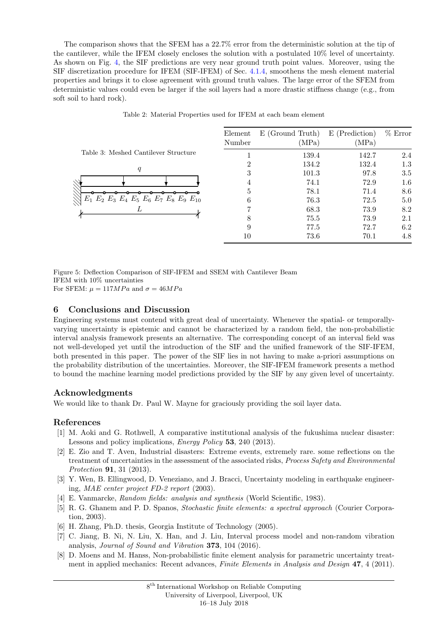The comparison shows that the SFEM has a 22.7% error from the deterministic solution at the tip of the cantilever, while the IFEM closely encloses the solution with a postulated 10% level of uncertainty. As shown on Fig. [4,](#page-5-2) the SIF predictions are very near ground truth point values. Moreover, using the SIF discretization procedure for IFEM (SIF-IFEM) of Sec. [4.1.4,](#page-4-4) smoothens the mesh element material properties and brings it to close agreement with ground truth values. The large error of the SFEM from deterministic values could even be larger if the soil layers had a more drastic stiffness change (e.g., from soft soil to hard rock).

<span id="page-6-6"></span>

|                                                                | Element<br>Number | E (Ground Truth)<br>(MPa) | E (Prediction)<br>(MPa) | $%$ Error |
|----------------------------------------------------------------|-------------------|---------------------------|-------------------------|-----------|
| Table 3: Meshed Cantilever Structure                           |                   | 139.4                     | 142.7                   | 2.4       |
|                                                                | 2                 | 134.2                     | 132.4                   | 1.3       |
| q                                                              | 3                 | 101.3                     | 97.8                    | 3.5       |
|                                                                |                   | 74.1                      | 72.9                    | 1.6       |
|                                                                | 5                 | 78.1                      | 71.4                    | 8.6       |
| $E_1$ $E_2$ $E_3$ $E_4$ $E_5$ $E_6$ $E_7$ $E_8$ $E_9$ $E_{10}$ | 6                 | 76.3                      | 72.5                    | 5.0       |
| L                                                              |                   | 68.3                      | 73.9                    | 8.2       |
|                                                                | 8                 | 75.5                      | 73.9                    | 2.1       |
|                                                                | 9                 | 77.5                      | 72.7                    | 6.2       |
|                                                                | 10                | 73.6                      | 70.1                    | 4.8       |
|                                                                |                   |                           |                         |           |

Table 2: Material Properties used for IFEM at each beam element

Figure 5: Deflection Comparison of SIF-IFEM and SSEM with Cantilever Beam IFEM with 10% uncertainties For SFEM:  $\mu = 117MPa$  and  $\sigma = 46MPa$ 

# 6 Conclusions and Discussion

Engineering systems must contend with great deal of uncertainty. Whenever the spatial- or temporallyvarying uncertainty is epistemic and cannot be characterized by a random field, the non-probabilistic interval analysis framework presents an alternative. The corresponding concept of an interval field was not well-developed yet until the introduction of the SIF and the unified framework of the SIF-IFEM, both presented in this paper. The power of the SIF lies in not having to make a-priori assumptions on the probability distribution of the uncertainties. Moreover, the SIF-IFEM framework presents a method to bound the machine learning model predictions provided by the SIF by any given level of uncertainty.

# Acknowledgments

We would like to thank Dr. Paul W. Mayne for graciously providing the soil layer data.

# References

- <span id="page-6-0"></span>[1] M. Aoki and G. Rothwell, A comparative institutional analysis of the fukushima nuclear disaster: Lessons and policy implications, Energy Policy 53, 240 (2013).
- [2] E. Zio and T. Aven, Industrial disasters: Extreme events, extremely rare. some reflections on the treatment of uncertainties in the assessment of the associated risks, *Process Safety and Environmental* Protection 91, 31 (2013).
- <span id="page-6-1"></span>[3] Y. Wen, B. Ellingwood, D. Veneziano, and J. Bracci, Uncertainty modeling in earthquake engineering, MAE center project FD-2 report (2003).
- <span id="page-6-2"></span>[4] E. Vanmarcke, Random fields: analysis and synthesis (World Scientific, 1983).
- <span id="page-6-3"></span>[5] R. G. Ghanem and P. D. Spanos, Stochastic finite elements: a spectral approach (Courier Corporation, 2003).
- <span id="page-6-4"></span>[6] H. Zhang, Ph.D. thesis, Georgia Institute of Technology (2005).
- [7] C. Jiang, B. Ni, N. Liu, X. Han, and J. Liu, Interval process model and non-random vibration analysis, Journal of Sound and Vibration 373, 104 (2016).
- <span id="page-6-5"></span>[8] D. Moens and M. Hanss, Non-probabilistic finite element analysis for parametric uncertainty treatment in applied mechanics: Recent advances, Finite Elements in Analysis and Design 47, 4 (2011).